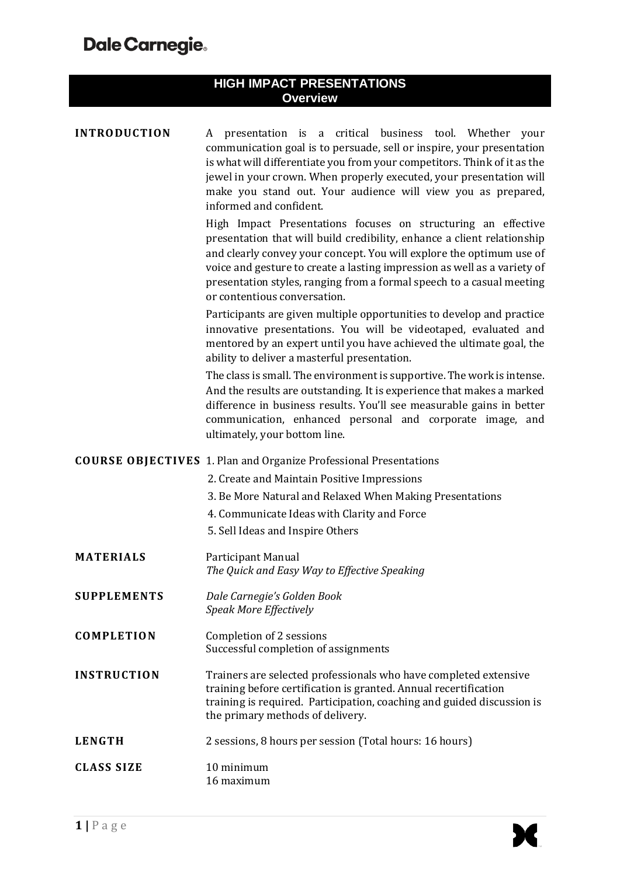| <b>HIGH IMPACT PRESENTATIONS</b><br><b>Overview</b> |                                                                                                                                                                                                                                                                                                                                                                                                       |  |
|-----------------------------------------------------|-------------------------------------------------------------------------------------------------------------------------------------------------------------------------------------------------------------------------------------------------------------------------------------------------------------------------------------------------------------------------------------------------------|--|
| <b>INTRODUCTION</b>                                 |                                                                                                                                                                                                                                                                                                                                                                                                       |  |
|                                                     | A presentation is a critical business tool. Whether<br>your<br>communication goal is to persuade, sell or inspire, your presentation<br>is what will differentiate you from your competitors. Think of it as the<br>jewel in your crown. When properly executed, your presentation will<br>make you stand out. Your audience will view you as prepared,<br>informed and confident.                    |  |
|                                                     | High Impact Presentations focuses on structuring an effective<br>presentation that will build credibility, enhance a client relationship<br>and clearly convey your concept. You will explore the optimum use of<br>voice and gesture to create a lasting impression as well as a variety of<br>presentation styles, ranging from a formal speech to a casual meeting<br>or contentious conversation. |  |
|                                                     | Participants are given multiple opportunities to develop and practice<br>innovative presentations. You will be videotaped, evaluated and<br>mentored by an expert until you have achieved the ultimate goal, the<br>ability to deliver a masterful presentation.                                                                                                                                      |  |
|                                                     | The class is small. The environment is supportive. The work is intense.<br>And the results are outstanding. It is experience that makes a marked<br>difference in business results. You'll see measurable gains in better<br>communication, enhanced personal and corporate image, and<br>ultimately, your bottom line.                                                                               |  |
|                                                     | <b>COURSE OBJECTIVES</b> 1. Plan and Organize Professional Presentations                                                                                                                                                                                                                                                                                                                              |  |
|                                                     | 2. Create and Maintain Positive Impressions                                                                                                                                                                                                                                                                                                                                                           |  |
|                                                     | 3. Be More Natural and Relaxed When Making Presentations                                                                                                                                                                                                                                                                                                                                              |  |
|                                                     | 4. Communicate Ideas with Clarity and Force<br>5. Sell Ideas and Inspire Others                                                                                                                                                                                                                                                                                                                       |  |
|                                                     |                                                                                                                                                                                                                                                                                                                                                                                                       |  |
| <b>MATERIALS</b>                                    | Participant Manual<br>The Quick and Easy Way to Effective Speaking                                                                                                                                                                                                                                                                                                                                    |  |
| <b>SUPPLEMENTS</b>                                  | Dale Carnegie's Golden Book<br>Speak More Effectively                                                                                                                                                                                                                                                                                                                                                 |  |
| <b>COMPLETION</b>                                   | Completion of 2 sessions<br>Successful completion of assignments                                                                                                                                                                                                                                                                                                                                      |  |
| <b>INSTRUCTION</b>                                  | Trainers are selected professionals who have completed extensive<br>training before certification is granted. Annual recertification<br>training is required. Participation, coaching and guided discussion is<br>the primary methods of delivery.                                                                                                                                                    |  |
| <b>LENGTH</b>                                       | 2 sessions, 8 hours per session (Total hours: 16 hours)                                                                                                                                                                                                                                                                                                                                               |  |
| <b>CLASS SIZE</b>                                   | 10 minimum<br>16 maximum                                                                                                                                                                                                                                                                                                                                                                              |  |

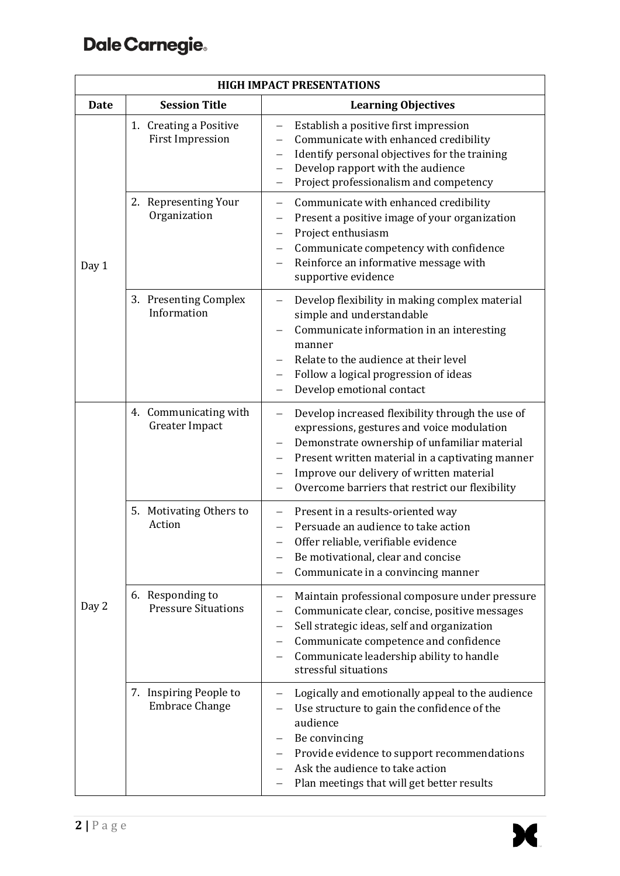## Dale Carnegie.

| <b>HIGH IMPACT PRESENTATIONS</b> |                                                   |                                                                                                                                                                                                                                                                                                                                    |  |
|----------------------------------|---------------------------------------------------|------------------------------------------------------------------------------------------------------------------------------------------------------------------------------------------------------------------------------------------------------------------------------------------------------------------------------------|--|
| <b>Date</b>                      | <b>Session Title</b>                              | <b>Learning Objectives</b>                                                                                                                                                                                                                                                                                                         |  |
| Day 1                            | 1. Creating a Positive<br><b>First Impression</b> | Establish a positive first impression<br>Communicate with enhanced credibility<br>Identify personal objectives for the training<br>Develop rapport with the audience<br>—<br>Project professionalism and competency                                                                                                                |  |
|                                  | 2. Representing Your<br>Organization              | Communicate with enhanced credibility<br>Present a positive image of your organization<br>Project enthusiasm<br>$\overline{\phantom{0}}$<br>Communicate competency with confidence<br>Reinforce an informative message with<br>supportive evidence                                                                                 |  |
|                                  | 3. Presenting Complex<br>Information              | Develop flexibility in making complex material<br>—<br>simple and understandable<br>Communicate information in an interesting<br>manner<br>Relate to the audience at their level<br>Follow a logical progression of ideas<br>Develop emotional contact                                                                             |  |
| Day 2                            | 4. Communicating with<br>Greater Impact           | Develop increased flexibility through the use of<br>$\overline{\phantom{0}}$<br>expressions, gestures and voice modulation<br>Demonstrate ownership of unfamiliar material<br>Present written material in a captivating manner<br>Improve our delivery of written material<br>—<br>Overcome barriers that restrict our flexibility |  |
|                                  | 5. Motivating Others to<br>Action                 | Present in a results-oriented way<br>$\overline{\phantom{0}}$<br>Persuade an audience to take action<br>Offer reliable, verifiable evidence<br>Be motivational, clear and concise<br>Communicate in a convincing manner                                                                                                            |  |
|                                  | 6. Responding to<br><b>Pressure Situations</b>    | Maintain professional composure under pressure<br>Communicate clear, concise, positive messages<br>Sell strategic ideas, self and organization<br>—<br>Communicate competence and confidence<br>Communicate leadership ability to handle<br>stressful situations                                                                   |  |
|                                  | 7. Inspiring People to<br><b>Embrace Change</b>   | Logically and emotionally appeal to the audience<br>Use structure to gain the confidence of the<br>audience<br>Be convincing<br>Provide evidence to support recommendations<br>Ask the audience to take action<br>Plan meetings that will get better results                                                                       |  |